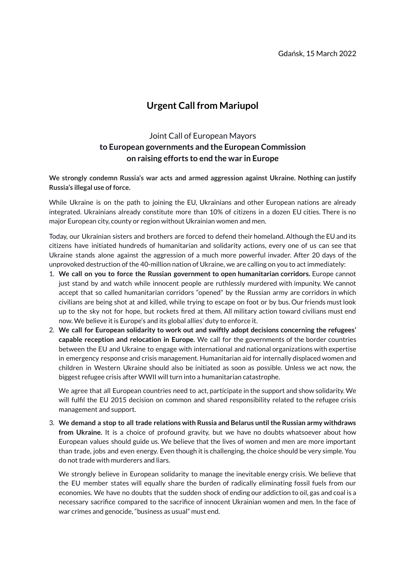## **Urgent Call from Mariupol**

## Joint Call of European Mayors **to European governments and the European Commission on raising efforts to end the war in Europe**

**We strongly condemn Russia's war acts and armed aggression against Ukraine. Nothing can justify Russia's illegal use of force.**

While Ukraine is on the path to joining the EU, Ukrainians and other European nations are already integrated. Ukrainians already constitute more than 10% of citizens in a dozen EU cities. There is no major European city, county or region without Ukrainian women and men.

Today, our Ukrainian sisters and brothers are forced to defend their homeland. Although the EU and its citizens have initiated hundreds of humanitarian and solidarity actions, every one of us can see that Ukraine stands alone against the aggression of a much more powerful invader. After 20 days of the unprovoked destruction of the 40-million nation of Ukraine, we are calling on you to act immediately:

- 1. **We call on you to force the Russian government to open humanitarian corridors.** Europe cannot just stand by and watch while innocent people are ruthlessly murdered with impunity. We cannot accept that so called humanitarian corridors "opened" by the Russian army are corridors in which civilians are being shot at and killed, while trying to escape on foot or by bus. Our friends must look up to the sky not for hope, but rockets fired at them. All military action toward civilians must end now. We believe it is Europe's and its global allies' duty to enforce it.
- 2. **We call for European solidarity to work out and swiftly adopt decisions concerning the refugees' capable reception and relocation in Europe.** We call for the governments of the border countries between the EU and Ukraine to engage with international and national organizations with expertise in emergency response and crisis management. Humanitarian aid for internally displaced women and children in Western Ukraine should also be initiated as soon as possible. Unless we act now, the biggest refugee crisis after WWII will turn into a humanitarian catastrophe.

We agree that all European countries need to act, participate in the support and show solidarity. We will fulfil the EU 2015 decision on common and shared responsibility related to the refugee crisis management and support.

3. **We demand a stop to all trade relations with Russia and Belarus untilthe Russian army withdraws from Ukraine.** It is a choice of profound gravity, but we have no doubts whatsoever about how European values should guide us. We believe that the lives of women and men are more important than trade, jobs and even energy. Even though it is challenging, the choice should be very simple. You do not trade with murderers and liars.

We strongly believe in European solidarity to manage the inevitable energy crisis. We believe that the EU member states will equally share the burden of radically eliminating fossil fuels from our economies. We have no doubts that the sudden shock of ending our addiction to oil, gas and coal is a necessary sacrifice compared to the sacrifice of innocent Ukrainian women and men. In the face of war crimes and genocide, "business as usual" must end.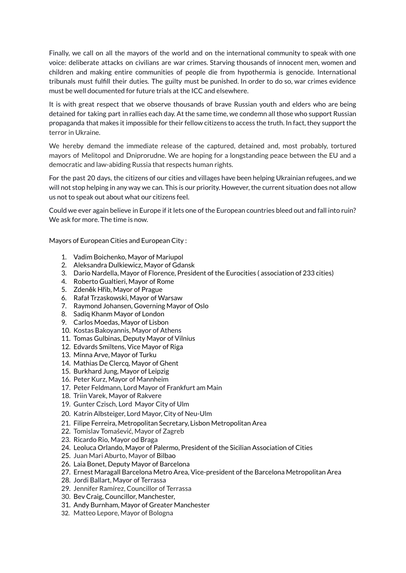Finally, we call on all the mayors of the world and on the international community to speak with one voice: deliberate attacks on civilians are war crimes. Starving thousands of innocent men, women and children and making entire communities of people die from hypothermia is genocide. International tribunals must fulfill their duties. The guilty must be punished. In order to do so, war crimes evidence must be well documented for future trials at the ICC and elsewhere.

It is with great respect that we observe thousands of brave Russian youth and elders who are being detained for taking part in rallies each day. At the same time, we condemn all those who support Russian propaganda that makes it impossible for their fellow citizens to access the truth. In fact, they support the terror in Ukraine.

We hereby demand the immediate release of the captured, detained and, most probably, tortured mayors of Melitopol and Dniprorudne. We are hoping for a longstanding peace between the EU and a democratic and law-abiding Russia that respects human rights.

For the past 20 days, the citizens of our cities and villages have been helping Ukrainian refugees, and we will not stop helping in any way we can. This is our priority. However, the current situation does not allow us not to speak out about what our citizens feel.

Could we ever again believe in Europe if it lets one of the European countries bleed out and fall into ruin? We ask for more. The time is now.

Mayors of European Cities and European City :

- 1. Vadim Boichenko, Mayor of Mariupol
- 2. Aleksandra Dulkiewicz, Mayor of Gdansk
- 3. Dario Nardella, Mayor of Florence, President of the Eurocities ( association of 233 cities)
- 4. Roberto Gualtieri, Mayor of Rome
- 5. Zdeněk Hřib, Mayor of Prague
- 6. Rafał Trzaskowski, Mayor of Warsaw
- 7. Raymond Johansen, Governing Mayor of Oslo
- 8. Sadiq Khanm Mayor of London
- 9. Carlos Moedas, Mayor of Lisbon
- 10. Kostas Bakoyannis, Mayor of Athens
- 11. Tomas Gulbinas, Deputy Mayor of Vilnius
- 12. Edvards Smiltens, Vice Mayor of Riga
- 13. Minna Arve, Mayor of Turku
- 14. Mathias De Clercq, Mayor of Ghent
- 15. Burkhard Jung, Mayor of Leipzig
- 16. Peter Kurz, Mayor of Mannheim
- 17. Peter Feldmann, Lord Mayor of Frankfurt am Main
- 18. Triin Varek, Mayor of Rakvere
- 19. Gunter Czisch, Lord Mayor City of Ulm
- 20. Katrin Albsteiger, Lord Mayor, City of Neu-Ulm
- 21. Filipe Ferreira, Metropolitan Secretary, Lisbon Metropolitan Area
- 22. Tomislav Tomašević, Mayor of Zagreb
- 23. Ricardo Rio, Mayor od Braga
- 24. Leoluca Orlando, Mayor of Palermo, President of the Sicilian Association of Cities
- 25. Juan Mari Aburto, Mayor of Bilbao
- 26. Laia Bonet, Deputy Mayor of Barcelona
- 27. Ernest Maragall Barcelona Metro Area, Vice-president of the Barcelona Metropolitan Area
- 28. Jordi Ballart, Mayor of Terrassa
- 29. Jennifer Ramírez, Councillor of Terrassa
- 30. Bev Craig, Councillor, Manchester,
- 31. Andy Burnham, Mayor of Greater Manchester
- 32. Matteo Lepore, Mayor of Bologna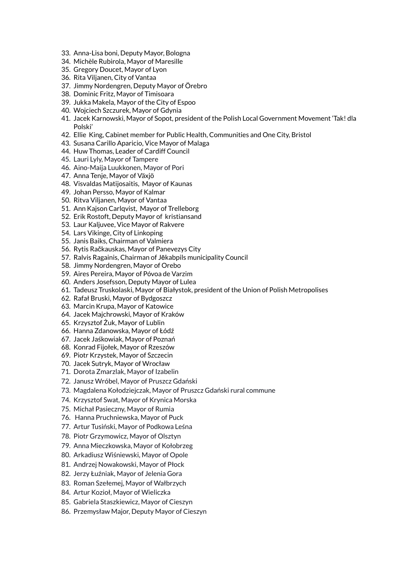- 33. Anna-Lisa boni, Deputy Mayor, Bologna
- 34. Michèle Rubirola, Mayor of Maresille
- 35. Gregory Doucet, Mayor of Lyon
- 36. Rita Viljanen, City of Vantaa
- 37. Jimmy Nordengren, Deputy Mayor of Örebro
- 38. Dominic Fritz, Mayor of Timisoara
- 39. Jukka Makela, Mayor of the City of Espoo
- 40. Wojciech Szczurek, Mayor of Gdynia
- 41. Jacek Karnowski, Mayor of Sopot, president of the Polish Local Government Movement 'Tak! dla Polski'
- 42. Ellie King, Cabinet member for Public Health, Communities and One City, Bristol
- 43. Susana Carillo Aparicio, Vice Mayor of Malaga
- 44. Huw Thomas, Leader of Cardiff Council
- 45. Lauri Lyly, Mayor of Tampere
- 46. Aino-Maija Luukkonen, Mayor of Pori
- 47. Anna Tenje, Mayor of Växjö
- 48. Visvaldas Matijosaitis, Mayor of Kaunas
- 49. Johan Persso, Mayor of Kalmar
- 50. Ritva Viljanen, Mayor of Vantaa
- 51. Ann Kajson Carlqvist, Mayor of Trelleborg
- 52. Erik Rostoft, Deputy Mayor of kristiansand
- 53. Laur Kaljuvee, Vice Mayor of Rakvere
- 54. Lars Vikinge, City of Linkoping
- 55. Janis Baiks, Chairman of Valmiera
- 56. Rytis Račkauskas, Mayor of Panevezys City
- 57. Ralvis Ragainis, Chairman of Jēkabpils municipality Council
- 58. Jimmy Nordengren, Mayor of Orebo
- 59. Aires Pereira, Mayor of Póvoa de Varzim
- 60. Anders Josefsson, Deputy Mayor of Lulea
- 61. Tadeusz Truskolaski, Mayor of Białystok, president of the Union of Polish Metropolises
- 62. Rafał Bruski, Mayor of Bydgoszcz
- 63. Marcin Krupa, Mayor of Katowice
- 64. Jacek Majchrowski, Mayor of Kraków
- 65. Krzysztof Żuk, Mayor of Lublin
- 66. Hanna Zdanowska, Mayor of Łódź
- 67. Jacek Jaśkowiak, Mayor of Poznań
- 68. Konrad Fijołek, Mayor of Rzeszów
- 69. Piotr Krzystek, Mayor of Szczecin
- 70. Jacek Sutryk, Mayor of Wrocław
- 71. Dorota Zmarzlak, Mayor of Izabelin
- 72. Janusz Wróbel, Mayor of Pruszcz Gdański
- 73. Magdalena Kołodziejczak, Mayor of Pruszcz Gdański rural commune
- 74. Krzysztof Swat, Mayor of Krynica Morska
- 75. Michał Pasieczny, Mayor of Rumia
- 76. Hanna Pruchniewska, Mayor of Puck
- 77. Artur Tusiński, Mayor of Podkowa Leśna
- 78. Piotr Grzymowicz, Mayor of Olsztyn
- 79. Anna Mieczkowska, Mayor of Kołobrzeg
- 80. Arkadiusz Wiśniewski, Mayor of Opole
- 81. Andrzej Nowakowski, Mayor of Płock
- 82. Jerzy Łuźniak, Mayor of Jelenia Gora
- 83. Roman Szełemej, Mayor of Wałbrzych
- 84. Artur Kozioł, Mayor of Wieliczka
- 85. Gabriela Staszkiewicz, Mayor of Cieszyn
- 86. Przemysław Major, Deputy Mayor of Cieszyn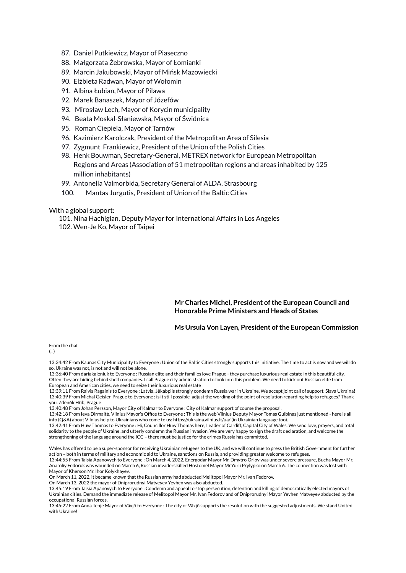- 87. Daniel Putkiewicz, Mayor of Piaseczno
- 88. Małgorzata Żebrowska, Mayor of Łomianki
- 89. Marcin Jakubowski, Mayor of Mińsk Mazowiecki
- 90. Elżbieta Radwan, Mayor of Wołomin
- 91. Albina Łubian, Mayor of Pilawa
- 92. Marek Banaszek, Mayor of Józefów
- 93. Mirosław Lech, Mayor of Korycin municipality
- 94. Beata Moskal-Słaniewska, Mayor of Świdnica
- 95. Roman Ciepiela, Mayor of Tarnów
- 96. Kazimierz Karolczak, President of the Metropolitan Area of Silesia
- 97. Zygmunt Frankiewicz, President of the Union of the Polish Cities
- 98. Henk Bouwman, Secretary-General, METREX network for European Metropolitan Regions and Areas (Association of 51 metropolitan regions and areas inhabited by 125 million inhabitants)
- 99. Antonella Valmorbida, Secretary General of ALDA, Strasbourg
- 100. Mantas Jurgutis, President of Union of the Baltic Cities

With a global support:

101. Nina Hachigian, Deputy Mayor for International Affairs in Los Angeles 102. Wen-Je Ko, Mayor of Taipei

## **Mr Charles Michel, President ofthe European Council and Honorable Prime Ministers and Heads of States**

## **Ms Ursula Von Layen, President ofthe European Commission**

From the chat

13:34:42 From Kaunas City Municipality to Everyone : Union of the Baltic Cities strongly supports this initiative. The time to act is now and we will do so. Ukraine was not, is not and will not be alone.

13:36:40 From dariakaleniuk to Everyone : Russian elite and their families love Prague - they purchase luxurious real estate in this beautiful city. Often they are hiding behind shell companies. I call Prague city administration to look into this problem. We need to kick out Russian elite from European and American cities, we need to seize their luxurious real estate

13:39:11 From Raivis Ragainis to Everyone : Latvia, Jēkabpils strongly condemn Russia war in Ukraine. We accept joint call of support. Slava Ukraina! 13:40:39 From Michal Geisler, Prague to Everyone : is it still possible adjust the wording of the point of resolution regarding help to refugees? Thank you. Zdeněk Hřib, Prague

13:40:48 From Johan Persson, Mayor City of Kalmar to Everyone : City of Kalmar support of course the proposal.

13:42:18 From Ieva Dirmaitė, Vilnius Mayor's Office to Everyone : This is the web Vilnius Deputy Mayor Tomas Gulbinas just mentioned - here is all info (Q&A) about Vilnius help to Ukrainians who come to us: https://ukraina.vilnius.lt/ua/ (in Ukrainian language too).

13:42:41 From Huw Thomas to Everyone : Hi, Councillor Huw Thomas here, Leader of Cardiff, Capital City of Wales. We send love, prayers, and total solidarity to the people of Ukraine, and utterly condemn the Russian invasion. We are very happy to sign the draft declaration, and welcome the strengthening of the language around the ICC – there must be justice for the crimes Russia has committed.

Wales has offered to be a super-sponsor for receiving Ukrainian refugees to the UK, and we will continue to press the British Government for further action – both in terms of military and economic aid to Ukraine, sanctions on Russia, and providing greater welcome to refugees. 13:44:55 From Taisia Apanovych to Everyone : On March 4, 2022, Energodar Mayor Mr. Dmytro Orlov was under severe pressure, Bucha Mayor Mr.

Anatoliy Fedoruk was wounded on March 6, Russian invaders killed Hostomel Mayor Mr.Yurii Prylypko on March 6. The connection was lost with Mayor of Kherson Mr. Ihor Kolykhayev.

On March 11, 2022, it became known that the Russian army had abducted Melitopol Mayor Mr. Ivan Fedorov.

On March 13, 2022 the mayor of Dniprorudnyi Matveyev Yevhen was also abducted.

<sup>(...)</sup>

<sup>13:45:19</sup> From Taisia Apanovych to Everyone : Condemn and appeal to stop persecution, detention and killing of democratically elected mayors of Ukrainian cities. Demand the immediate release of Melitopol Mayor Mr. Ivan Fedorov and of Dniprorudnyi Mayor Yevhen Matveyev abducted by the occupational Russian forces

<sup>13:45:22</sup> From Anna Tenje Mayor of Växjö to Everyone : The city of Växjö supports the resolution with the suggested adjustments. We stand United with Ukraine!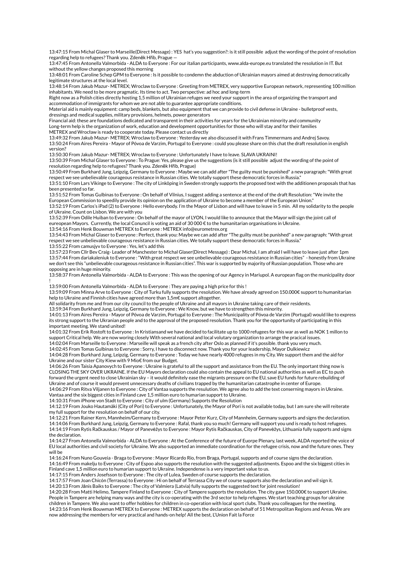13:47:15 From Michal Glaser to Marseille(Direct Message) : YES hat's you suggestion?: is it still possible adjust the wording of the point of resolution regarding help to refugees? Thank you. Zdeněk Hřib, Prague —

13:47:45 From Antonella Valmorbida - ALDA to Everyone : For our italian participants, www.alda-europe.eu translated the resolution in IT. But without the yellow changes proposed this morning

13:48:01 From Caroline Schep GPM to Everyone : Is it possible to condemn the abduction of Ukrainian mayors aimed at destroying democratically legitimate structures at the local level.

13:48:14 From Jakub Mazur- METREX; Wroclaw to Everyone : Greeting from METREX, very supportive European network, representing 100 million inhabitants. We need to be more pragmatic. Its time to act. Two perspective: ad hoc and long-term

Right now as a Polish cities directly hosting 1,5 million of Ukrainian refuges we need your support in the area of organizing the transport and accommodation of immigrants for whom we are not able to guarantee appropriate conditions.

Material aid is mainly equipment: camp beds, blankets, but also equipment that we can provide to civil defense in Ukraine - bulletproof vests, dressings and medical supplies, military provisions, helmets, power generators

Financial aid: these are foundations dedicated and transparent in their activities for years for the Ukrainian minority and community Long-term help is the organization of work, education and development opportunities for those who will stay and for their families METREX and Wrocław is ready to cooperate today. Please contact us directly

13:49:32 From Jakub Mazur- METREX; Wroclaw to Everyone : Yesterday we also discussed it with Frans Timmermans and Andrej Savoy.

13:50:24 From Aires Pereira - Mayor of Póvoa de Varzim, Portugal to Everyone : could you please share on this chat the draft resolution in english version?

13:50:30 From Jakub Mazur- METREX; Wroclaw to Everyone : Unfortunately I have to leave. SLAVA UKRAINI!

13:50:39 From Michal Glaser to Everyone : To Prague: Yes, please give us the suggestions (is it still possible adjust the wording of the point of resolution regarding help to refugees? Thank you. Zdeněk Hřib, Prague)

13:50:49 From Burkhard Jung, Leipzig, Germany to Everyone : Maybe we can add after "The guilty must be punished" a new paragraph:"With great respect we see unbelievable courageous resistance in Russian cities. We totally support these democratic forces in Russia."

13:51:10 From Lars Vikinge to Everyone : The city of Linköping in Sweden strongly supports the proposed text with the additionen proposals that has been presented so far.

13:51:52 From Tomas Gulbinas to Everyone : On behalf of Vilnius, I suggest adding a sentence at the end of the draft Resolution:"We invite the European Commission to speedily provide its opinion on the application of Ukraine to become a member of the European Union."

13:52:19 From Carlos's iPad (2) to Everyone : Hello everybody. I'm the Mayor of Lisbon and will have to leave in 5 min. All my solidarity to the people of Ukraine. Count on Lisbon. We are with you

13:52:39 From Odile Huiban to Everyone : On behalf of the mayor of LYON, I would like to announce that the Mayor will sign the joint call of eureopean Mayors. Currently, the local Conuncil is voting an aid of 30 000 € to the humanitarian organisations in Ukraine.

13:54:16 From Henk Bouwman METREX to Everyone : METREX info@eurometrex.org

13:54:43 From Michal Glaser to Everyone : Perfect, thank you: Maybe we can add after "The guilty must be punished" a new paragraph:"With great respect we see unbelievable courageous resistance in Russian cities. We totally support these democratic forces in Russia." 13:55:22 From camusjyv to Everyone : Yes, let's add this

13:57:23 From Cllr Bev Craig- Leader of Manchester to Michal Glaser(Direct Message) : Dear Michal, I am afraid I will have to leave just after 1pm 13:57:44 From dariakaleniuk to Everyone : "With great respect we see unbelievable courageous resistance in Russian cities" - honestly from Ukraine we don't see this "unbelievable courageous resistance in Russian cities". This war is supported by majority of Russian population. Those who are opposing are in huge minority.

13:58:37 From Antonella Valmorbida - ALDA to Everyone : This was the opening of our Agency in Mariupol. A european flag on the municipality door !

13:59:00 From Antonella Valmorbida - ALDA to Everyone : They are paying a high price for this !

13:59:09 From Minna Arve to Everyone : City of Turku fully supports the resolution. We have already agreed on 150.000€ support to humanitarian help to Ukraine and Finnish cities have agreed more than 1,5m€ support altogether.

All solidarity from me and from our city council to the people of Ukraine and all mayors in Ukraine taking care of their residents.

13:59:34 From Burkhard Jung, Leipzig, Germany to Everyone : We Know, but we have to strengthen this minority.

14:01:13 From Aires Pereira - Mayor of Póvoa de Varzim, Portugal to Everyone : The Municipality of Póvoa de Varzim (Portugal) would like to express its strong support to the Ukranian people and to the approval of the proposed resolution. Thank you for the opportunity of participating in this important meeting. We stand united!

14:01:32 From Erik Rostoft to Everyone : In Kristiansand we have decided to facilitate up to 1000 refugees for this war as well as NOK 1 millon to support Critical help. We are now woring closely With several national and local volutary organization to arrange the pracical issues.

14:02:04 From Marseille to Everyone : Marseille will speak as a french city after Oslo as planned if it's possible. thank you very much. 14:02:45 From Tomas Gulbinas to Everyone : Sorry, I have to disconnect now. Thank you for your leadership, Mayor Dulkiewicz

14:04:28 From Burkhard Jung, Leipzig, Germany to Everyone : Today we have nearly 4000 refugees in my City. We support them and the aid for Ukraine and our sister City Kiew with 9 Mio€ from our Budget.

14:06:26 From Taisia Apanovych to Everyone : Ukraine is grateful to all the support and assistance from the EU. The only important thing now is CLOSING THE SKY OVER UKRAINE. If the EU Mayors declaration could also contain the appeal to EU national authorities as well as EC to push forward the urgent need to close Ukrainian sky – it would definitely ease the migrants pressure on the EU, save EU funds for future rebuilding of Ukraine and of course it would prevent unnecessary deaths of civilians trapped by the humanitarian catastrophe in center of Europe.

14:06:29 From Ritva Viljanen to Everyone : City of Vantaa supports the resulution. We agree also to add the text conserning mayors in Ukraine. Vantaa and the six biggest cities in Finland cave 1,5 million euro to humarian support to Ukraine.

14:10:31 From iPhone von Stadt to Everyone : City of ulm (Germany) Supports the Resolution

14:12:19 From Jouko Hautamäki (City of Pori) to Everyone : Unfortunately, the Mayor of Pori is not available today, but I am sure she will reiterate my full support for the resolution on behalf of our city.

14:12:21 From Rainer Kern, Mannheim/Germany to Everyone : Mayor Peter Kurz, City of Mannheim, Germany supports and signs the declaration. 14:14:06 From Burkhard Jung, Leipzig, Germany to Everyone : Rafal, thank you so much! Germany will support you und is ready to host refugees.

14:14:19 From Rytis Račkauskas / Mayor of Panevėžys to Everyone : Mayor Rytis Račkauskas, City of Panevėžys, Lithuania fully supports and signs the declaration.

14:14:27 From Antonella Valmorbida - ALDA to Everyone : At the Conference of the future of Euorpe Plenary, last week, ALDA reported the voice of EU local authorities and civil society for Ukraine. We also supported an immediate coordination for the refugee crisis, now and the future ones. They will be

14:16:24 From Nuno Gouveia - Braga to Everyone : Mayor Ricardo Rio, from Braga, Portugal, supports and of course signs the declaration. 14:16:49 From makelju to Everyone : City of Espoo also supports the resolution with the suggested adjustments. Espoo and the six biggest cities in Finland cave 1,5 million euro to humarian support to Ukraine. Independense is a very important value to us.

14:17:15 From Anders Josefsson to Everyone : The city of Lulea, Sweden of course supports the declaration.

now addressing the members for very practical and hands-on help! All the best, L'Union Fait la Force

14:17:57 From Joan Chicón (Terrassa) to Everyone : Hi on behalf of Terrassa City we of course supports also the declaration and wil sign it. 14:20:13 From Jānis Baiks to Everyone : The city of Valmiera (Latvia) fully supports the suggested text for joint resolution!

14:20:28 From Matti Helimo, Tampere Finland to Everyone : City of Tampere supports the resolution. The city gave 150.000€ to support Ukraine. People in Tampere are helping many ways and the city is co-operating with the 3rd sector to help refugees. We start teaching groups for ukraine children in Tampere. We also want to offer hobbies for children in co-operation with local sport clubs. Thank you colleagues for the meeting. 14:23:16 From Henk Bouwman METREX to Everyone : METREX supports the declaration on behalf of 51 Metropolitan Regions and Areas. We are